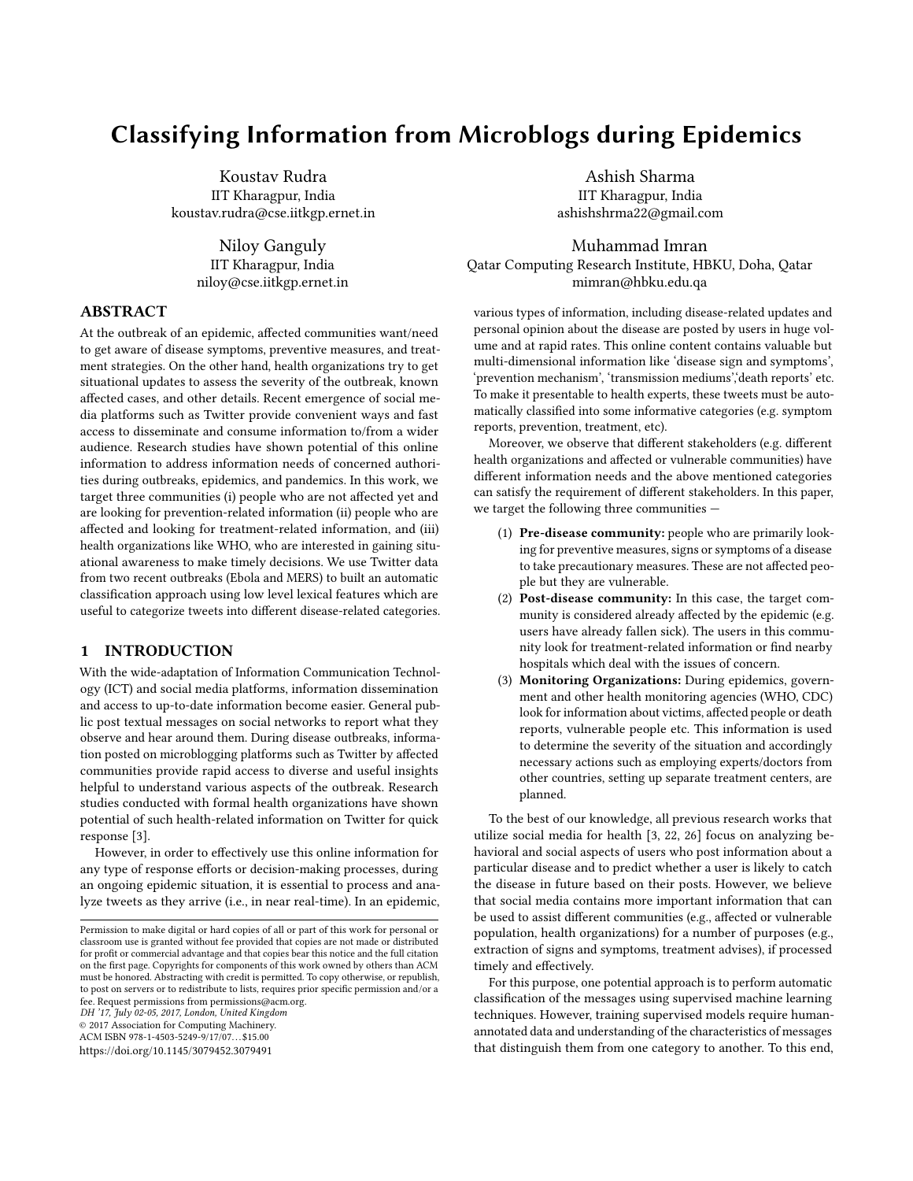# Classifying Information from Microblogs during Epidemics

Koustav Rudra IIT Kharagpur, India koustav.rudra@cse.iitkgp.ernet.in

> Niloy Ganguly IIT Kharagpur, India niloy@cse.iitkgp.ernet.in

# ABSTRACT

At the outbreak of an epidemic, affected communities want/need to get aware of disease symptoms, preventive measures, and treatment strategies. On the other hand, health organizations try to get situational updates to assess the severity of the outbreak, known affected cases, and other details. Recent emergence of social media platforms such as Twitter provide convenient ways and fast access to disseminate and consume information to/from a wider audience. Research studies have shown potential of this online information to address information needs of concerned authorities during outbreaks, epidemics, and pandemics. In this work, we target three communities (i) people who are not affected yet and are looking for prevention-related information (ii) people who are affected and looking for treatment-related information, and (iii) health organizations like WHO, who are interested in gaining situational awareness to make timely decisions. We use Twitter data from two recent outbreaks (Ebola and MERS) to built an automatic classification approach using low level lexical features which are useful to categorize tweets into different disease-related categories.

# 1 INTRODUCTION

With the wide-adaptation of Information Communication Technology (ICT) and social media platforms, information dissemination and access to up-to-date information become easier. General public post textual messages on social networks to report what they observe and hear around them. During disease outbreaks, information posted on microblogging platforms such as Twitter by affected communities provide rapid access to diverse and useful insights helpful to understand various aspects of the outbreak. Research studies conducted with formal health organizations have shown potential of such health-related information on Twitter for quick response [\[3\]](#page-4-0).

However, in order to effectively use this online information for any type of response efforts or decision-making processes, during an ongoing epidemic situation, it is essential to process and analyze tweets as they arrive (i.e., in near real-time). In an epidemic,

© 2017 Association for Computing Machinery. ACM ISBN 978-1-4503-5249-9/17/07. . . \$15.00

<https://doi.org/10.1145/3079452.3079491>

Ashish Sharma IIT Kharagpur, India ashishshrma22@gmail.com

Muhammad Imran Qatar Computing Research Institute, HBKU, Doha, Qatar mimran@hbku.edu.qa

various types of information, including disease-related updates and personal opinion about the disease are posted by users in huge volume and at rapid rates. This online content contains valuable but multi-dimensional information like 'disease sign and symptoms', 'prevention mechanism', 'transmission mediums','death reports' etc. To make it presentable to health experts, these tweets must be automatically classified into some informative categories (e.g. symptom reports, prevention, treatment, etc).

Moreover, we observe that different stakeholders (e.g. different health organizations and affected or vulnerable communities) have different information needs and the above mentioned categories can satisfy the requirement of different stakeholders. In this paper, we target the following three communities —

- (1) Pre-disease community: people who are primarily looking for preventive measures, signs or symptoms of a disease to take precautionary measures. These are not affected people but they are vulnerable.
- (2) Post-disease community: In this case, the target community is considered already affected by the epidemic (e.g. users have already fallen sick). The users in this community look for treatment-related information or find nearby hospitals which deal with the issues of concern.
- (3) Monitoring Organizations: During epidemics, government and other health monitoring agencies (WHO, CDC) look for information about victims, affected people or death reports, vulnerable people etc. This information is used to determine the severity of the situation and accordingly necessary actions such as employing experts/doctors from other countries, setting up separate treatment centers, are planned.

To the best of our knowledge, all previous research works that utilize social media for health [\[3,](#page-4-0) [22,](#page-4-1) [26\]](#page-4-2) focus on analyzing behavioral and social aspects of users who post information about a particular disease and to predict whether a user is likely to catch the disease in future based on their posts. However, we believe that social media contains more important information that can be used to assist different communities (e.g., affected or vulnerable population, health organizations) for a number of purposes (e.g., extraction of signs and symptoms, treatment advises), if processed timely and effectively.

For this purpose, one potential approach is to perform automatic classification of the messages using supervised machine learning techniques. However, training supervised models require humanannotated data and understanding of the characteristics of messages that distinguish them from one category to another. To this end,

Permission to make digital or hard copies of all or part of this work for personal or classroom use is granted without fee provided that copies are not made or distributed for profit or commercial advantage and that copies bear this notice and the full citation on the first page. Copyrights for components of this work owned by others than ACM must be honored. Abstracting with credit is permitted. To copy otherwise, or republish, to post on servers or to redistribute to lists, requires prior specific permission and/or a fee. Request permissions from permissions@acm.org. DH '17, July 02-05, 2017, London, United Kingdom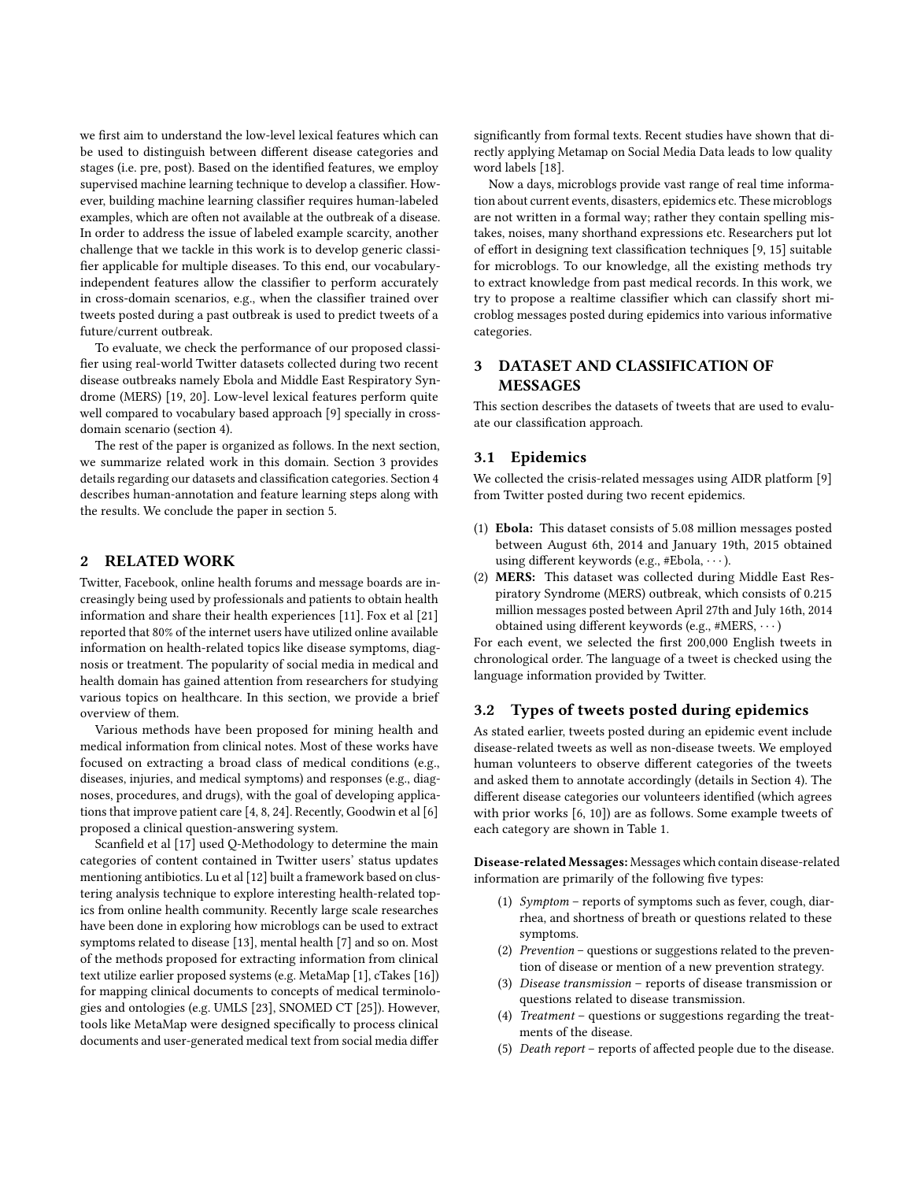we first aim to understand the low-level lexical features which can be used to distinguish between different disease categories and stages (i.e. pre, post). Based on the identified features, we employ supervised machine learning technique to develop a classifier. However, building machine learning classifier requires human-labeled examples, which are often not available at the outbreak of a disease. In order to address the issue of labeled example scarcity, another challenge that we tackle in this work is to develop generic classifier applicable for multiple diseases. To this end, our vocabularyindependent features allow the classifier to perform accurately in cross-domain scenarios, e.g., when the classifier trained over tweets posted during a past outbreak is used to predict tweets of a future/current outbreak.

To evaluate, we check the performance of our proposed classifier using real-world Twitter datasets collected during two recent disease outbreaks namely Ebola and Middle East Respiratory Syndrome (MERS) [\[19,](#page-4-3) [20\]](#page-4-4). Low-level lexical features perform quite well compared to vocabulary based approach [\[9\]](#page-4-5) specially in crossdomain scenario (section [4\)](#page-2-0).

The rest of the paper is organized as follows. In the next section, we summarize related work in this domain. Section [3](#page-1-0) provides details regarding our datasets and classification categories. Section [4](#page-2-0) describes human-annotation and feature learning steps along with the results. We conclude the paper in section [5.](#page-4-6)

## <span id="page-1-1"></span>2 RELATED WORK

Twitter, Facebook, online health forums and message boards are increasingly being used by professionals and patients to obtain health information and share their health experiences [\[11\]](#page-4-7). Fox et al [\[21\]](#page-4-8) reported that 80% of the internet users have utilized online available information on health-related topics like disease symptoms, diagnosis or treatment. The popularity of social media in medical and health domain has gained attention from researchers for studying various topics on healthcare. In this section, we provide a brief overview of them.

Various methods have been proposed for mining health and medical information from clinical notes. Most of these works have focused on extracting a broad class of medical conditions (e.g., diseases, injuries, and medical symptoms) and responses (e.g., diagnoses, procedures, and drugs), with the goal of developing applications that improve patient care [\[4,](#page-4-9) [8,](#page-4-10) [24\]](#page-4-11). Recently, Goodwin et al [\[6\]](#page-4-12) proposed a clinical question-answering system.

Scanfield et al [\[17\]](#page-4-13) used Q-Methodology to determine the main categories of content contained in Twitter users' status updates mentioning antibiotics. Lu et al [\[12\]](#page-4-14) built a framework based on clustering analysis technique to explore interesting health-related topics from online health community. Recently large scale researches have been done in exploring how microblogs can be used to extract symptoms related to disease [\[13\]](#page-4-15), mental health [\[7\]](#page-4-16) and so on. Most of the methods proposed for extracting information from clinical text utilize earlier proposed systems (e.g. MetaMap [\[1\]](#page-4-17), cTakes [\[16\]](#page-4-18)) for mapping clinical documents to concepts of medical terminologies and ontologies (e.g. UMLS [\[23\]](#page-4-19), SNOMED CT [\[25\]](#page-4-20)). However, tools like MetaMap were designed specifically to process clinical documents and user-generated medical text from social media differ

significantly from formal texts. Recent studies have shown that directly applying Metamap on Social Media Data leads to low quality word labels [\[18\]](#page-4-21).

Now a days, microblogs provide vast range of real time information about current events, disasters, epidemics etc. These microblogs are not written in a formal way; rather they contain spelling mistakes, noises, many shorthand expressions etc. Researchers put lot of effort in designing text classification techniques [\[9,](#page-4-5) [15\]](#page-4-22) suitable for microblogs. To our knowledge, all the existing methods try to extract knowledge from past medical records. In this work, we try to propose a realtime classifier which can classify short microblog messages posted during epidemics into various informative categories.

# <span id="page-1-0"></span>3 DATASET AND CLASSIFICATION OF MESSAGES

This section describes the datasets of tweets that are used to evaluate our classification approach.

# 3.1 Epidemics

We collected the crisis-related messages using AIDR platform [\[9\]](#page-4-5) from Twitter posted during two recent epidemics.

- (1) Ebola: This dataset consists of 5.08 million messages posted between August 6th, 2014 and January 19th, 2015 obtained using different keywords (e.g., #Ebola, · · · ).
- (2) MERS: This dataset was collected during Middle East Respiratory Syndrome (MERS) outbreak, which consists of 0.215 million messages posted between April 27th and July 16th, 2014 obtained using different keywords (e.g., #MERS, · · · )

For each event, we selected the first 200,000 English tweets in chronological order. The language of a tweet is checked using the language information provided by Twitter.

#### 3.2 Types of tweets posted during epidemics

As stated earlier, tweets posted during an epidemic event include disease-related tweets as well as non-disease tweets. We employed human volunteers to observe different categories of the tweets and asked them to annotate accordingly (details in Section [4\)](#page-2-0). The different disease categories our volunteers identified (which agrees with prior works [\[6,](#page-4-12) [10\]](#page-4-23)) are as follows. Some example tweets of each category are shown in Table [1.](#page-2-1)

Disease-related Messages: Messages which contain disease-related information are primarily of the following five types:

- (1) Symptom reports of symptoms such as fever, cough, diarrhea, and shortness of breath or questions related to these symptoms.
- (2) Prevention questions or suggestions related to the prevention of disease or mention of a new prevention strategy.
- (3) Disease transmission reports of disease transmission or questions related to disease transmission.
- (4) Treatment questions or suggestions regarding the treatments of the disease.
- (5) Death report reports of affected people due to the disease.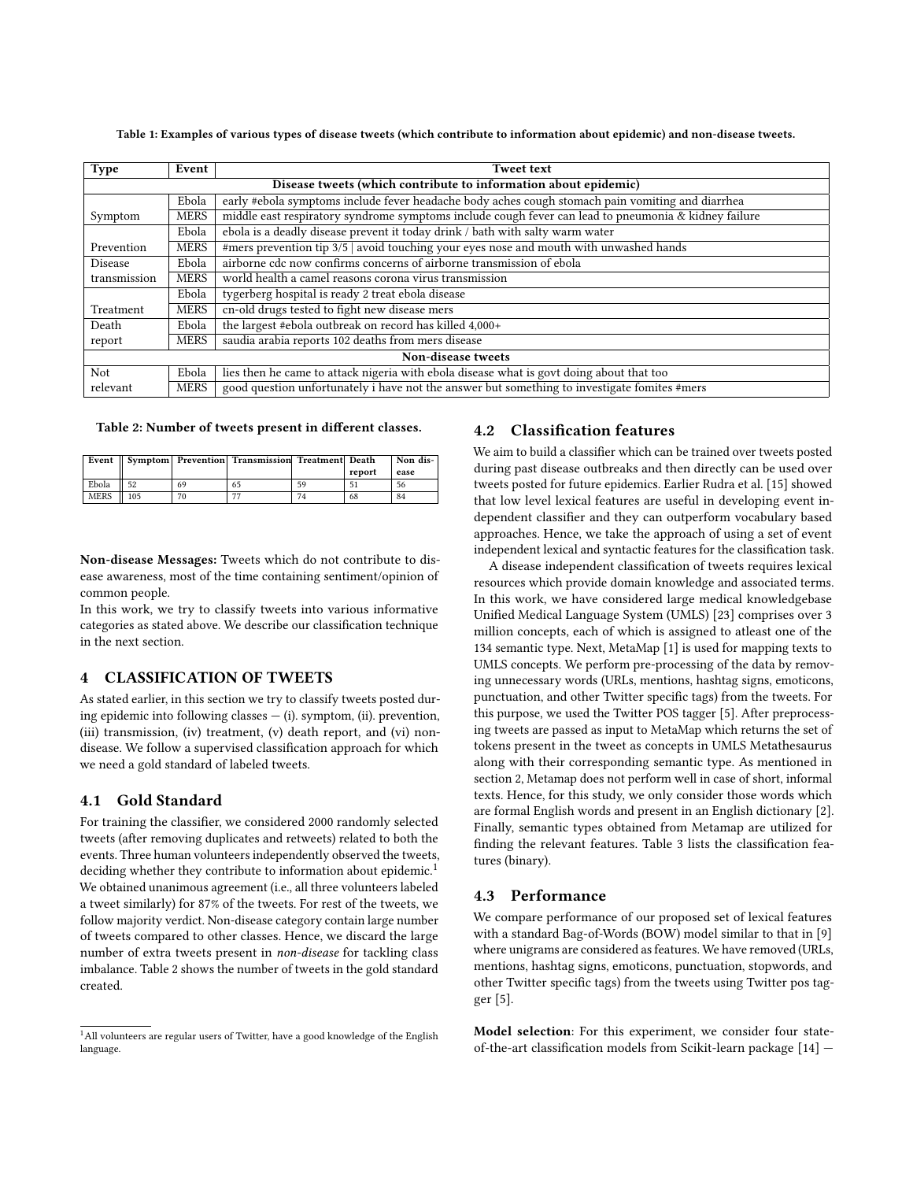<span id="page-2-1"></span>Table 1: Examples of various types of disease tweets (which contribute to information about epidemic) and non-disease tweets.

| <b>Type</b>        | Event                                                                                             | <b>Tweet text</b>                                                                                    |  |  |  |
|--------------------|---------------------------------------------------------------------------------------------------|------------------------------------------------------------------------------------------------------|--|--|--|
|                    | Disease tweets (which contribute to information about epidemic)                                   |                                                                                                      |  |  |  |
|                    | Ebola                                                                                             | early #ebola symptoms include fever headache body aches cough stomach pain vomiting and diarrhea     |  |  |  |
| Symptom            | <b>MERS</b>                                                                                       | middle east respiratory syndrome symptoms include cough fever can lead to pneumonia & kidney failure |  |  |  |
|                    | Ebola                                                                                             | ebola is a deadly disease prevent it today drink / bath with salty warm water                        |  |  |  |
| Prevention         | <b>MERS</b>                                                                                       | #mers prevention tip 3/5   avoid touching your eyes nose and mouth with unwashed hands               |  |  |  |
| <b>Disease</b>     | Ebola                                                                                             | airborne cdc now confirms concerns of airborne transmission of ebola                                 |  |  |  |
| transmission       | <b>MERS</b>                                                                                       | world health a camel reasons corona virus transmission                                               |  |  |  |
|                    | Ebola                                                                                             | tygerberg hospital is ready 2 treat ebola disease                                                    |  |  |  |
| Treatment          | <b>MERS</b>                                                                                       | cn-old drugs tested to fight new disease mers                                                        |  |  |  |
| Death              | Ebola                                                                                             | the largest #ebola outbreak on record has killed 4,000+                                              |  |  |  |
| report             | <b>MERS</b>                                                                                       | saudia arabia reports 102 deaths from mers disease                                                   |  |  |  |
| Non-disease tweets |                                                                                                   |                                                                                                      |  |  |  |
| Not                | lies then he came to attack nigeria with ebola disease what is govt doing about that too<br>Ebola |                                                                                                      |  |  |  |
| relevant           | <b>MERS</b>                                                                                       | good question unfortunately i have not the answer but something to investigate fomites #mers         |  |  |  |

#### <span id="page-2-3"></span>Table 2: Number of tweets present in different classes.

| Event |             |     |    | Symptom   Prevention   Transmission   Treatment   Death |    |        | Non dis- |
|-------|-------------|-----|----|---------------------------------------------------------|----|--------|----------|
|       |             |     |    |                                                         |    | report | ease     |
|       | Ebola       | 52  | 69 | 65                                                      | 59 |        | 56       |
|       | <b>MERS</b> | 105 |    | --                                                      | 74 | 68     | 84       |

Non-disease Messages: Tweets which do not contribute to disease awareness, most of the time containing sentiment/opinion of common people.

In this work, we try to classify tweets into various informative categories as stated above. We describe our classification technique in the next section.

#### <span id="page-2-0"></span>4 CLASSIFICATION OF TWEETS

As stated earlier, in this section we try to classify tweets posted during epidemic into following classes  $-$  (i). symptom, (ii). prevention, (iii) transmission, (iv) treatment, (v) death report, and (vi) nondisease. We follow a supervised classification approach for which we need a gold standard of labeled tweets.

### 4.1 Gold Standard

For training the classifier, we considered 2000 randomly selected tweets (after removing duplicates and retweets) related to both the events. Three human volunteers independently observed the tweets, deciding whether they contribute to information about epidemic.<sup>[1](#page-2-2)</sup> We obtained unanimous agreement (i.e., all three volunteers labeled a tweet similarly) for 87% of the tweets. For rest of the tweets, we follow majority verdict. Non-disease category contain large number of tweets compared to other classes. Hence, we discard the large number of extra tweets present in non-disease for tackling class imbalance. Table [2](#page-2-3) shows the number of tweets in the gold standard created.

### 4.2 Classification features

We aim to build a classifier which can be trained over tweets posted during past disease outbreaks and then directly can be used over tweets posted for future epidemics. Earlier Rudra et al. [\[15\]](#page-4-22) showed that low level lexical features are useful in developing event independent classifier and they can outperform vocabulary based approaches. Hence, we take the approach of using a set of event independent lexical and syntactic features for the classification task.

A disease independent classification of tweets requires lexical resources which provide domain knowledge and associated terms. In this work, we have considered large medical knowledgebase Unified Medical Language System (UMLS) [\[23\]](#page-4-19) comprises over 3 million concepts, each of which is assigned to atleast one of the 134 semantic type. Next, MetaMap [\[1\]](#page-4-17) is used for mapping texts to UMLS concepts. We perform pre-processing of the data by removing unnecessary words (URLs, mentions, hashtag signs, emoticons, punctuation, and other Twitter specific tags) from the tweets. For this purpose, we used the Twitter POS tagger [\[5\]](#page-4-24). After preprocessing tweets are passed as input to MetaMap which returns the set of tokens present in the tweet as concepts in UMLS Metathesaurus along with their corresponding semantic type. As mentioned in section [2,](#page-1-1) Metamap does not perform well in case of short, informal texts. Hence, for this study, we only consider those words which are formal English words and present in an English dictionary [\[2\]](#page-4-25). Finally, semantic types obtained from Metamap are utilized for finding the relevant features. Table [3](#page-3-0) lists the classification features (binary).

#### 4.3 Performance

We compare performance of our proposed set of lexical features with a standard Bag-of-Words (BOW) model similar to that in [\[9\]](#page-4-5) where unigrams are considered as features. We have removed (URLs, mentions, hashtag signs, emoticons, punctuation, stopwords, and other Twitter specific tags) from the tweets using Twitter pos tagger [\[5\]](#page-4-24).

Model selection: For this experiment, we consider four stateof-the-art classification models from Scikit-learn package [\[14\]](#page-4-26) —

<span id="page-2-2"></span><sup>&</sup>lt;sup>1</sup>All volunteers are regular users of Twitter, have a good knowledge of the English language.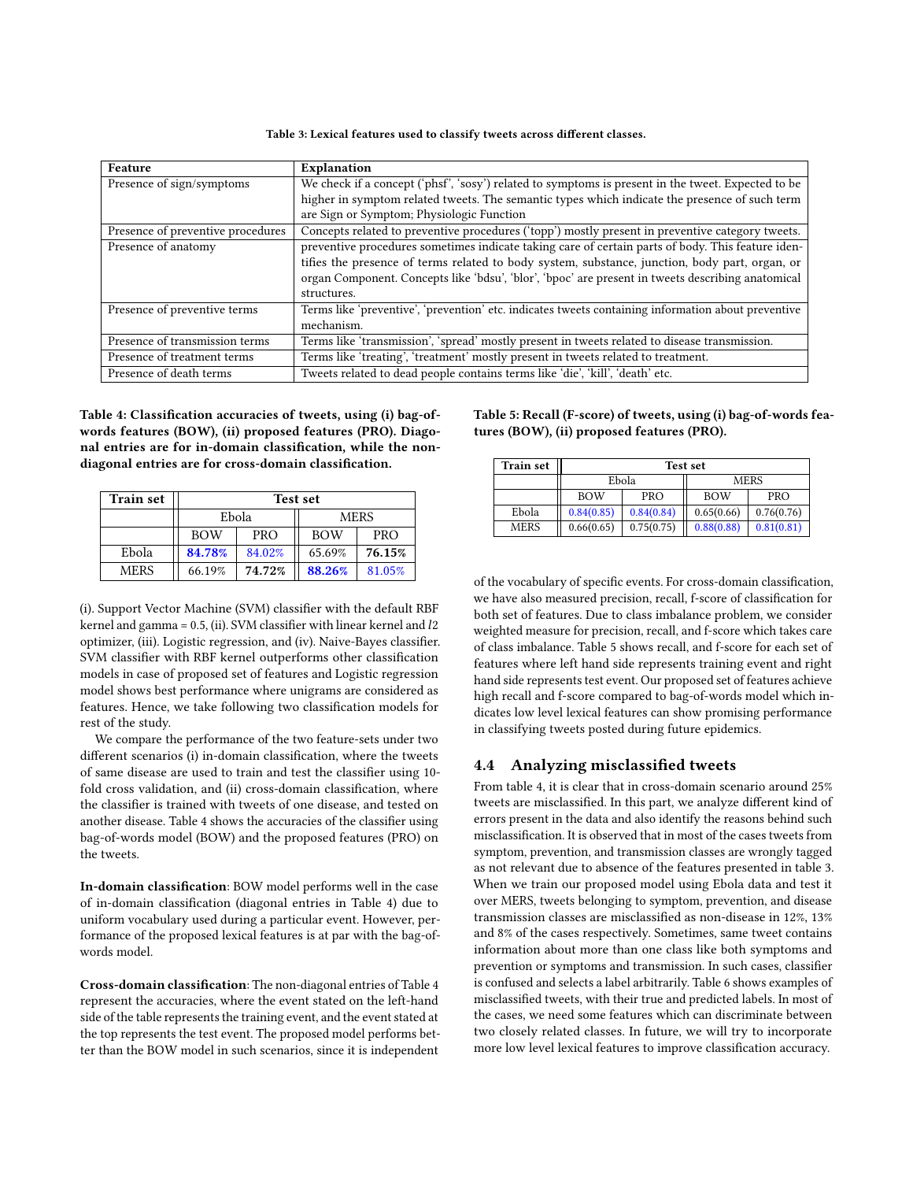Table 3: Lexical features used to classify tweets across different classes.

<span id="page-3-0"></span>

| Feature                           | Explanation                                                                                         |  |  |
|-----------------------------------|-----------------------------------------------------------------------------------------------------|--|--|
| Presence of sign/symptoms         | We check if a concept ('phsf', 'sosy') related to symptoms is present in the tweet. Expected to be  |  |  |
|                                   | higher in symptom related tweets. The semantic types which indicate the presence of such term       |  |  |
|                                   | are Sign or Symptom; Physiologic Function                                                           |  |  |
| Presence of preventive procedures | Concepts related to preventive procedures ('topp') mostly present in preventive category tweets.    |  |  |
| Presence of anatomy               | preventive procedures sometimes indicate taking care of certain parts of body. This feature iden-   |  |  |
|                                   | tifies the presence of terms related to body system, substance, junction, body part, organ, or      |  |  |
|                                   | organ Component. Concepts like 'bdsu', 'blor', 'bpoc' are present in tweets describing anatomical   |  |  |
|                                   | structures.                                                                                         |  |  |
| Presence of preventive terms      | Terms like 'preventive', 'prevention' etc. indicates tweets containing information about preventive |  |  |
|                                   | mechanism.                                                                                          |  |  |
| Presence of transmission terms    | Terms like 'transmission', 'spread' mostly present in tweets related to disease transmission.       |  |  |
| Presence of treatment terms       | Terms like 'treating', 'treatment' mostly present in tweets related to treatment.                   |  |  |
| Presence of death terms           | Tweets related to dead people contains terms like 'die', 'kill', 'death' etc.                       |  |  |

<span id="page-3-1"></span>Table 4: Classification accuracies of tweets, using (i) bag-ofwords features (BOW), (ii) proposed features (PRO). Diagonal entries are for in-domain classification, while the nondiagonal entries are for cross-domain classification.

| <b>Train set</b> | <b>Test set</b> |            |            |            |  |
|------------------|-----------------|------------|------------|------------|--|
|                  | Ebola           |            | MERS       |            |  |
|                  | <b>BOW</b>      | <b>PRO</b> | <b>BOW</b> | <b>PRO</b> |  |
| Ebola            | 84.78%          | 84.02%     | 65.69%     | 76.15%     |  |
| <b>MERS</b>      | 66.19%          | 74.72%     | 88.26%     | 81.05%     |  |

(i). Support Vector Machine (SVM) classifier with the default RBF kernel and gamma = 0.5, (ii). SVM classifier with linear kernel and l2 optimizer, (iii). Logistic regression, and (iv). Naive-Bayes classifier. SVM classifier with RBF kernel outperforms other classification models in case of proposed set of features and Logistic regression model shows best performance where unigrams are considered as features. Hence, we take following two classification models for rest of the study.

We compare the performance of the two feature-sets under two different scenarios (i) in-domain classification, where the tweets of same disease are used to train and test the classifier using 10 fold cross validation, and (ii) cross-domain classification, where the classifier is trained with tweets of one disease, and tested on another disease. Table [4](#page-3-1) shows the accuracies of the classifier using bag-of-words model (BOW) and the proposed features (PRO) on the tweets.

In-domain classification: BOW model performs well in the case of in-domain classification (diagonal entries in Table [4\)](#page-3-1) due to uniform vocabulary used during a particular event. However, performance of the proposed lexical features is at par with the bag-ofwords model.

Cross-domain classification: The non-diagonal entries of Table [4](#page-3-1) represent the accuracies, where the event stated on the left-hand side of the table represents the training event, and the event stated at the top represents the test event. The proposed model performs better than the BOW model in such scenarios, since it is independent

<span id="page-3-2"></span>Table 5: Recall (F-score) of tweets, using (i) bag-of-words features (BOW), (ii) proposed features (PRO).

| <b>Train set</b> | <b>Test set</b> |            |             |            |  |
|------------------|-----------------|------------|-------------|------------|--|
|                  | Ebola           |            | <b>MERS</b> |            |  |
|                  | <b>BOW</b>      | <b>PRO</b> | <b>BOW</b>  | <b>PRO</b> |  |
| Ebola            | 0.84(0.85)      | 0.84(0.84) | 0.65(0.66)  | 0.76(0.76) |  |
| <b>MERS</b>      | 0.66(0.65)      | 0.75(0.75) | 0.88(0.88)  | 0.81(0.81) |  |

of the vocabulary of specific events. For cross-domain classification, we have also measured precision, recall, f-score of classification for both set of features. Due to class imbalance problem, we consider weighted measure for precision, recall, and f-score which takes care of class imbalance. Table [5](#page-3-2) shows recall, and f-score for each set of features where left hand side represents training event and right hand side represents test event. Our proposed set of features achieve high recall and f-score compared to bag-of-words model which indicates low level lexical features can show promising performance in classifying tweets posted during future epidemics.

#### 4.4 Analyzing misclassified tweets

From table [4,](#page-3-1) it is clear that in cross-domain scenario around 25% tweets are misclassified. In this part, we analyze different kind of errors present in the data and also identify the reasons behind such misclassification. It is observed that in most of the cases tweets from symptom, prevention, and transmission classes are wrongly tagged as not relevant due to absence of the features presented in table [3.](#page-3-0) When we train our proposed model using Ebola data and test it over MERS, tweets belonging to symptom, prevention, and disease transmission classes are misclassified as non-disease in 12%, 13% and 8% of the cases respectively. Sometimes, same tweet contains information about more than one class like both symptoms and prevention or symptoms and transmission. In such cases, classifier is confused and selects a label arbitrarily. Table [6](#page-4-27) shows examples of misclassified tweets, with their true and predicted labels. In most of the cases, we need some features which can discriminate between two closely related classes. In future, we will try to incorporate more low level lexical features to improve classification accuracy.